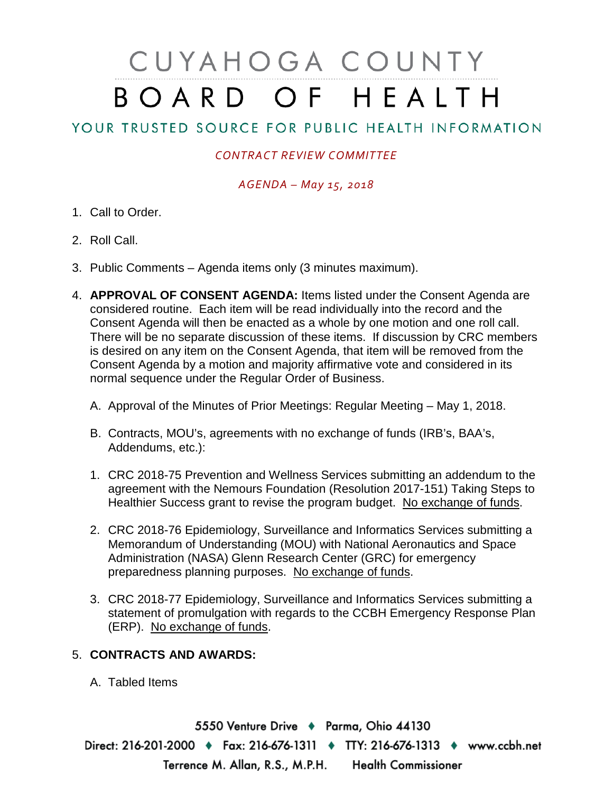# CUYAHOGA COUNTY BOARD OF HEALTH

## YOUR TRUSTED SOURCE FOR PUBLIC HEALTH INFORMATION

### *CONTRACT REVIEW COMMITTEE*

### *AGENDA – May 15, 2018*

- 1. Call to Order.
- 2. Roll Call.
- 3. Public Comments Agenda items only (3 minutes maximum).
- 4. **APPROVAL OF CONSENT AGENDA:** Items listed under the Consent Agenda are considered routine. Each item will be read individually into the record and the Consent Agenda will then be enacted as a whole by one motion and one roll call. There will be no separate discussion of these items. If discussion by CRC members is desired on any item on the Consent Agenda, that item will be removed from the Consent Agenda by a motion and majority affirmative vote and considered in its normal sequence under the Regular Order of Business.
	- A. Approval of the Minutes of Prior Meetings: Regular Meeting May 1, 2018.
	- B. Contracts, MOU's, agreements with no exchange of funds (IRB's, BAA's, Addendums, etc.):
	- 1. CRC 2018-75 Prevention and Wellness Services submitting an addendum to the agreement with the Nemours Foundation (Resolution 2017-151) Taking Steps to Healthier Success grant to revise the program budget. No exchange of funds.
	- 2. CRC 2018-76 Epidemiology, Surveillance and Informatics Services submitting a Memorandum of Understanding (MOU) with National Aeronautics and Space Administration (NASA) Glenn Research Center (GRC) for emergency preparedness planning purposes. No exchange of funds.
	- 3. CRC 2018-77 Epidemiology, Surveillance and Informatics Services submitting a statement of promulgation with regards to the CCBH Emergency Response Plan (ERP). No exchange of funds.

#### 5. **CONTRACTS AND AWARDS:**

A. Tabled Items

5550 Venture Drive + Parma, Ohio 44130 Direct: 216-201-2000 • Fax: 216-676-1311 • TTY: 216-676-1313 • www.ccbh.net Terrence M. Allan, R.S., M.P.H. Health Commissioner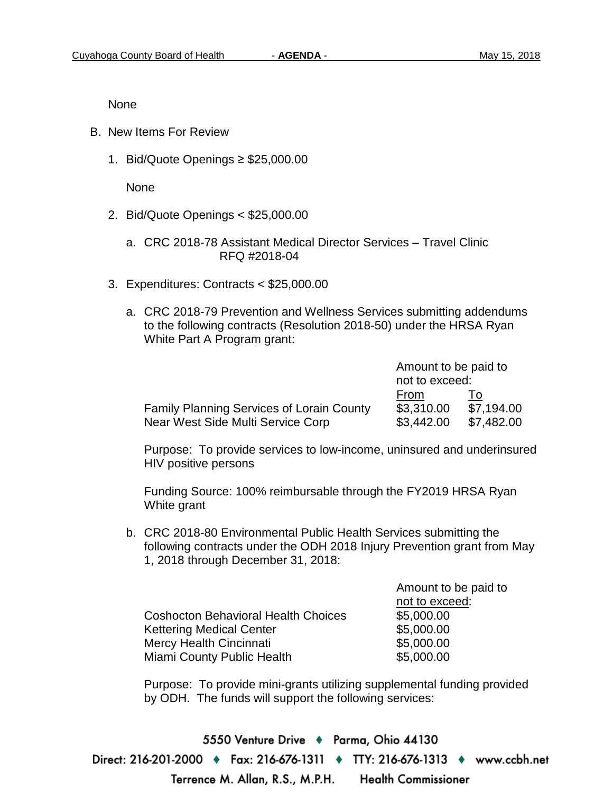None

- B. New Items For Review
	- 1. Bid/Quote Openings ≥ \$25,000.00

None

- 2. Bid/Quote Openings < \$25,000.00
	- a. CRC 2018-78 Assistant Medical Director Services Travel Clinic RFQ #2018-04
- 3. Expenditures: Contracts < \$25,000.00
	- a. CRC 2018-79 Prevention and Wellness Services submitting addendums to the following contracts (Resolution 2018-50) under the HRSA Ryan White Part A Program grant:

|                                                                                       | Amount to be paid to<br>not to exceed: |                                |
|---------------------------------------------------------------------------------------|----------------------------------------|--------------------------------|
| <b>Family Planning Services of Lorain County</b><br>Near West Side Multi Service Corp | From<br>\$3,310.00<br>\$3,442.00       | 10<br>\$7,194.00<br>\$7,482.00 |

Purpose: To provide services to low-income, uninsured and underinsured HIV positive persons

Funding Source: 100% reimbursable through the FY2019 HRSA Ryan White grant

b. CRC 2018-80 Environmental Public Health Services submitting the following contracts under the ODH 2018 Injury Prevention grant from May 1, 2018 through December 31, 2018:

Amount to be paid to

|                                            | not to exceed: |
|--------------------------------------------|----------------|
| <b>Coshocton Behavioral Health Choices</b> | \$5,000.00     |
| <b>Kettering Medical Center</b>            | \$5,000.00     |
| Mercy Health Cincinnati                    | \$5,000.00     |
| Miami County Public Health                 | \$5,000.00     |

Purpose: To provide mini-grants utilizing supplemental funding provided by ODH. The funds will support the following services:

5550 Venture Drive ♦ Parma, Ohio 44130 Direct: 216-201-2000 ♦ Fax: 216-676-1311 ♦ TTY: 216-676-1313 ♦ www.ccbh.net Terrence M. Allan, R.S., M.P.H. **Health Commissioner**